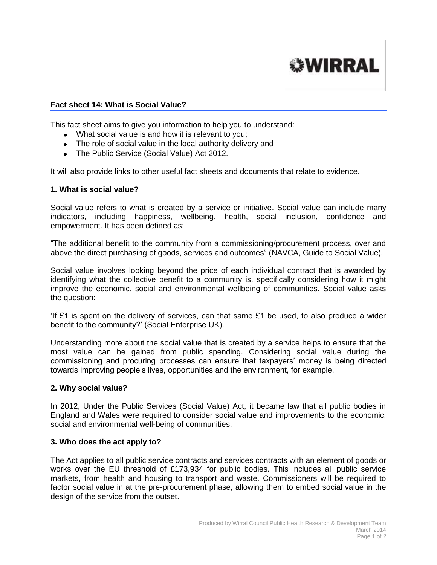# **WIRRAL**

### **Fact sheet 14: What is Social Value?**

This fact sheet aims to give you information to help you to understand:

- What social value is and how it is relevant to you;
- The role of social value in the local authority delivery and
- The Public Service (Social Value) Act 2012.

It will also provide links to other useful fact sheets and documents that relate to evidence.

#### **1. What is social value?**

Social value refers to what is created by a service or initiative. Social value can include many indicators, including happiness, wellbeing, health, social inclusion, confidence and empowerment. It has been defined as:

"The additional benefit to the community from a commissioning/procurement process, over and above the direct purchasing of goods, services and outcomes" (NAVCA, Guide to Social Value).

Social value involves looking beyond the price of each individual contract that is awarded by identifying what the collective benefit to a community is, specifically considering how it might improve the economic, social and environmental wellbeing of communities. Social value asks the question:

If £1 is spent on the delivery of services, can that same  $£1$  be used, to also produce a wider benefit to the community?' (Social Enterprise UK).

Understanding more about the social value that is created by a service helps to ensure that the most value can be gained from public spending. Considering social value during the commissioning and procuring processes can ensure that taxpayers' money is being directed towards improving people's lives, opportunities and the environment, for example.

#### **2. Why social value?**

In 2012, Under the Public Services (Social Value) Act, it became law that all public bodies in England and Wales were required to consider social value and improvements to the economic, social and environmental well-being of communities.

#### **3. Who does the act apply to?**

The Act applies to all public service contracts and services contracts with an element of goods or works over the EU threshold of £173,934 for public bodies. This includes all public service markets, from health and housing to transport and waste. Commissioners will be required to factor social value in at the pre-procurement phase, allowing them to embed social value in the design of the service from the outset.